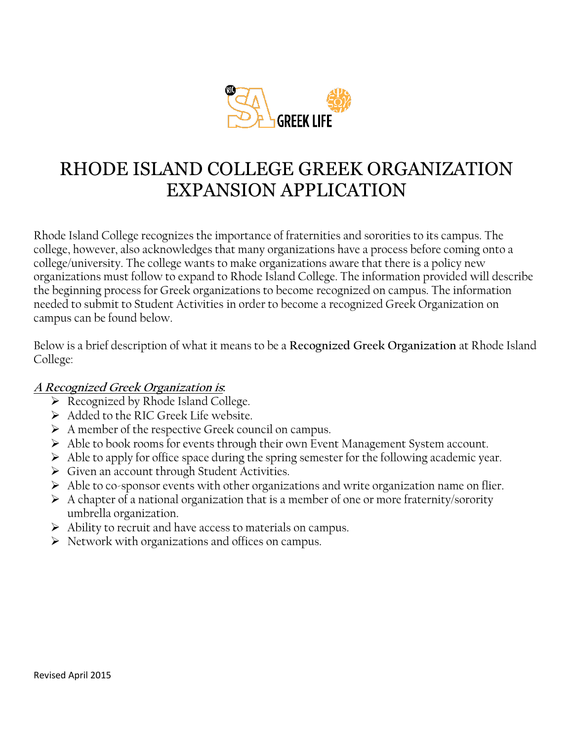

## RHODE ISLAND COLLEGE GREEK ORGANIZATION EXPANSION APPLICATION

Rhode Island College recognizes the importance of fraternities and sororities to its campus. The college, however, also acknowledges that many organizations have a process before coming onto a college/university. The college wants to make organizations aware that there is a policy new organizations must follow to expand to Rhode Island College. The information provided will describe the beginning process for Greek organizations to become recognized on campus. The information needed to submit to Student Activities in order to become a recognized Greek Organization on campus can be found below.

Below is a brief description of what it means to be a **Recognized Greek Organization** at Rhode Island College:

## **A Recognized Greek Organization is:**

- $\triangleright$  Recognized by Rhode Island College.
- Added to the RIC Greek Life website.
- $\triangleright$  A member of the respective Greek council on campus.
- Able to book rooms for events through their own Event Management System account.
- $\triangleright$  Able to apply for office space during the spring semester for the following academic year.
- $\triangleright$  Given an account through Student Activities.
- $\triangleright$  Able to co-sponsor events with other organizations and write organization name on flier.
- $\triangleright$  A chapter of a national organization that is a member of one or more fraternity/sorority umbrella organization.
- $\triangleright$  Ability to recruit and have access to materials on campus.
- $\triangleright$  Network with organizations and offices on campus.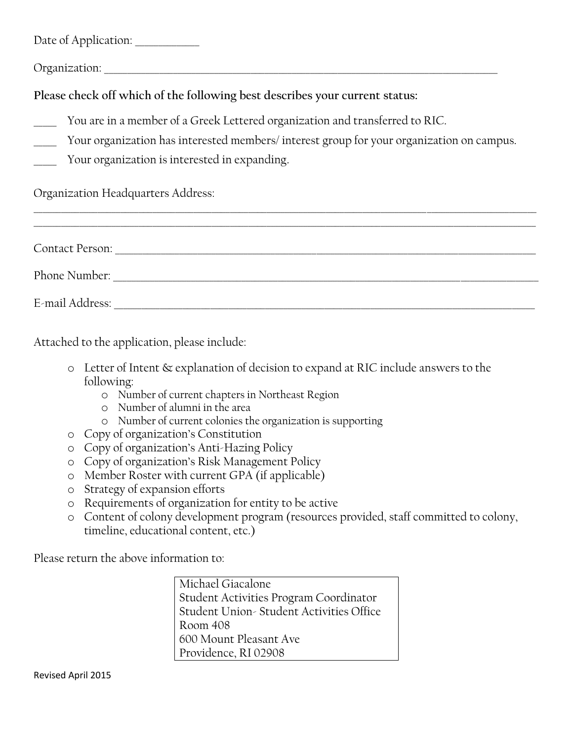Date of Application: \_\_\_\_\_\_\_\_\_\_\_\_\_\_

Organization:

**Please check off which of the following best describes your current status:**

- You are in a member of a Greek Lettered organization and transferred to RIC.
- Your organization has interested members/ interest group for your organization on campus.
- Your organization is interested in expanding.

Organization Headquarters Address:

| <b>Contact Person:</b> |  |  |  |
|------------------------|--|--|--|
| Phone Number:          |  |  |  |
| E-mail Address:        |  |  |  |

\_\_\_\_\_\_\_\_\_\_\_\_\_\_\_\_\_\_\_\_\_\_\_\_\_\_\_\_\_\_\_\_\_\_\_\_\_\_\_\_\_\_\_\_\_\_\_\_\_\_\_\_\_\_\_\_\_\_\_\_\_\_\_\_\_\_\_\_\_\_\_\_\_\_\_\_\_\_\_\_\_\_\_\_\_\_\_\_\_\_\_\_\_\_\_\_\_\_\_\_\_\_\_\_\_\_\_\_\_\_

Attached to the application, please include:

- o Letter of Intent & explanation of decision to expand at RIC include answers to the following:
	- o Number of current chapters in Northeast Region
	- o Number of alumni in the area
	- o Number of current colonies the organization is supporting
- o Copy of organization's Constitution
- o Copy of organization's Anti-Hazing Policy
- o Copy of organization's Risk Management Policy
- o Member Roster with current GPA (if applicable)
- o Strategy of expansion efforts
- o Requirements of organization for entity to be active
- o Content of colony development program (resources provided, staff committed to colony, timeline, educational content, etc.)

Please return the above information to:

Michael Giacalone Student Activities Program Coordinator Student Union- Student Activities Office Room 408 600 Mount Pleasant Ave Providence, RI 02908